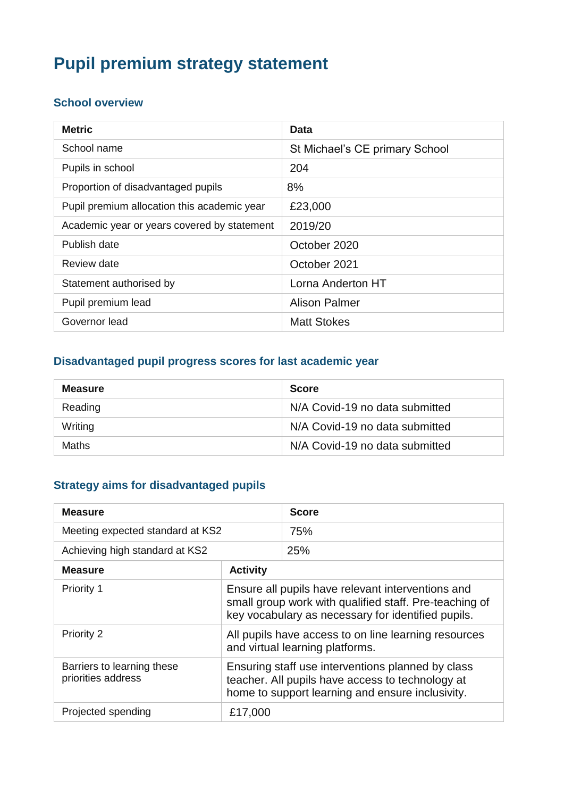# **Pupil premium strategy statement**

#### **School overview**

| <b>Metric</b>                               | Data                           |
|---------------------------------------------|--------------------------------|
| School name                                 | St Michael's CE primary School |
| Pupils in school                            | 204                            |
| Proportion of disadvantaged pupils          | 8%                             |
| Pupil premium allocation this academic year | £23,000                        |
| Academic year or years covered by statement | 2019/20                        |
| Publish date                                | October 2020                   |
| Review date                                 | October 2021                   |
| Statement authorised by                     | Lorna Anderton HT              |
| Pupil premium lead                          | <b>Alison Palmer</b>           |
| Governor lead                               | <b>Matt Stokes</b>             |

#### **Disadvantaged pupil progress scores for last academic year**

| <b>Measure</b> | <b>Score</b>                   |
|----------------|--------------------------------|
| Reading        | N/A Covid-19 no data submitted |
| Writing        | N/A Covid-19 no data submitted |
| <b>Maths</b>   | N/A Covid-19 no data submitted |

## **Strategy aims for disadvantaged pupils**

| <b>Measure</b>                                   |                                                                                                                                                                   | <b>Score</b> |
|--------------------------------------------------|-------------------------------------------------------------------------------------------------------------------------------------------------------------------|--------------|
| Meeting expected standard at KS2                 |                                                                                                                                                                   | 75%          |
| Achieving high standard at KS2                   |                                                                                                                                                                   | 25%          |
| <b>Measure</b>                                   | <b>Activity</b>                                                                                                                                                   |              |
| <b>Priority 1</b>                                | Ensure all pupils have relevant interventions and<br>small group work with qualified staff. Pre-teaching of<br>key vocabulary as necessary for identified pupils. |              |
| <b>Priority 2</b>                                | All pupils have access to on line learning resources<br>and virtual learning platforms.                                                                           |              |
| Barriers to learning these<br>priorities address | Ensuring staff use interventions planned by class<br>teacher. All pupils have access to technology at<br>home to support learning and ensure inclusivity.         |              |
| Projected spending                               | £17,000                                                                                                                                                           |              |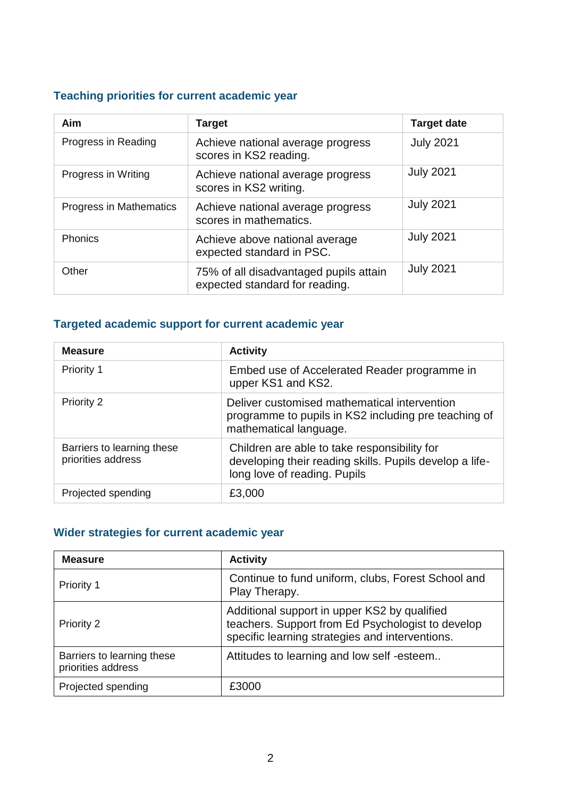## **Teaching priorities for current academic year**

| Aim                     | <b>Target</b>                                                            | <b>Target date</b> |
|-------------------------|--------------------------------------------------------------------------|--------------------|
| Progress in Reading     | Achieve national average progress<br>scores in KS2 reading.              | <b>July 2021</b>   |
| Progress in Writing     | Achieve national average progress<br>scores in KS2 writing.              | <b>July 2021</b>   |
| Progress in Mathematics | Achieve national average progress<br>scores in mathematics.              | <b>July 2021</b>   |
| <b>Phonics</b>          | Achieve above national average<br>expected standard in PSC.              | <b>July 2021</b>   |
| Other                   | 75% of all disadvantaged pupils attain<br>expected standard for reading. | <b>July 2021</b>   |

## **Targeted academic support for current academic year**

| <b>Measure</b>                                   | <b>Activity</b>                                                                                                                         |
|--------------------------------------------------|-----------------------------------------------------------------------------------------------------------------------------------------|
| Priority 1                                       | Embed use of Accelerated Reader programme in<br>upper KS1 and KS2.                                                                      |
| Priority 2                                       | Deliver customised mathematical intervention<br>programme to pupils in KS2 including pre teaching of<br>mathematical language.          |
| Barriers to learning these<br>priorities address | Children are able to take responsibility for<br>developing their reading skills. Pupils develop a life-<br>long love of reading. Pupils |
| Projected spending                               | £3,000                                                                                                                                  |

#### **Wider strategies for current academic year**

| <b>Measure</b>                                   | <b>Activity</b>                                                                                                                                      |
|--------------------------------------------------|------------------------------------------------------------------------------------------------------------------------------------------------------|
| Priority 1                                       | Continue to fund uniform, clubs, Forest School and<br>Play Therapy.                                                                                  |
| Priority 2                                       | Additional support in upper KS2 by qualified<br>teachers. Support from Ed Psychologist to develop<br>specific learning strategies and interventions. |
| Barriers to learning these<br>priorities address | Attitudes to learning and low self-esteem                                                                                                            |
| Projected spending                               | £3000                                                                                                                                                |